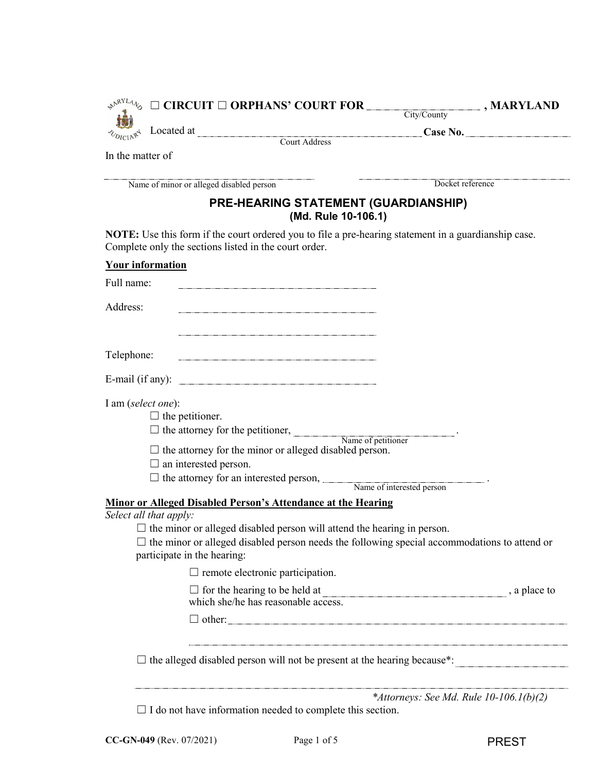| $\boxed{\blacksquare}$ , MARYLAND<br>$\mathbb{R}^{\mathbb{R}^{\mathrm{NL}}4}\circledcirc \square$ CIRCUIT $\square$ ORPHANS' COURT FOR _______<br>City/County |
|---------------------------------------------------------------------------------------------------------------------------------------------------------------|
|                                                                                                                                                               |
| Located at Court Address Court Address Case No.                                                                                                               |
|                                                                                                                                                               |
| Docket reference                                                                                                                                              |
| <b>PRE-HEARING STATEMENT (GUARDIANSHIP)</b><br>(Md. Rule 10-106.1)                                                                                            |
| <b>NOTE:</b> Use this form if the court ordered you to file a pre-hearing statement in a guardianship case.                                                   |
|                                                                                                                                                               |
|                                                                                                                                                               |
|                                                                                                                                                               |
|                                                                                                                                                               |
|                                                                                                                                                               |
|                                                                                                                                                               |
|                                                                                                                                                               |
|                                                                                                                                                               |
|                                                                                                                                                               |
| $\Box$ the attorney for the petitioner, Name of petitioner Name of petitioner                                                                                 |
| $\Box$ the attorney for the minor or alleged disabled person.                                                                                                 |
|                                                                                                                                                               |
| $\Box$ the attorney for an interested person, Name of interested person.                                                                                      |
| Minor or Alleged Disabled Person's Attendance at the Hearing                                                                                                  |
|                                                                                                                                                               |
| $\Box$ the minor or alleged disabled person will attend the hearing in person.                                                                                |
| $\Box$ the minor or alleged disabled person needs the following special accommodations to attend or                                                           |
|                                                                                                                                                               |
| , a place to                                                                                                                                                  |
| $\Box$ other:                                                                                                                                                 |
| $\Box$ the alleged disabled person will not be present at the hearing because*:                                                                               |
|                                                                                                                                                               |
|                                                                                                                                                               |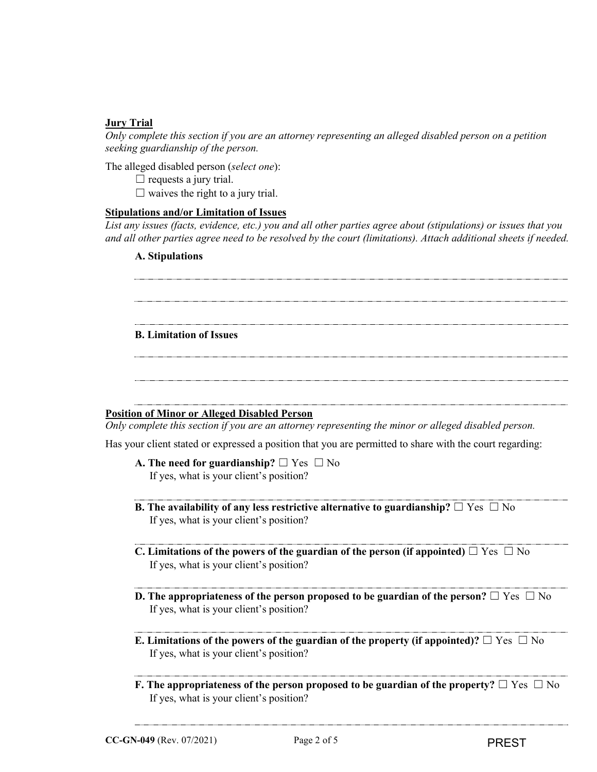# **Jury Trial**

*Only complete this section if you are an attorney representing an alleged disabled person on a petition seeking guardianship of the person.* 

The alleged disabled person (*select one*):

 $\Box$  requests a jury trial.

 $\Box$  waives the right to a jury trial.

# **Stipulations and/or Limitation of Issues**

*List any issues (facts, evidence, etc.) you and all other parties agree about (stipulations) or issues that you and all other parties agree need to be resolved by the court (limitations). Attach additional sheets if needed.*

## **A. Stipulations**

# **B. Limitation of Issues**

# **Position of Minor or Alleged Disabled Person**

*Only complete this section if you are an attorney representing the minor or alleged disabled person.*

Has your client stated or expressed a position that you are permitted to share with the court regarding:

- **A. The need for guardianship?** ☐ Yes ☐ No If yes, what is your client's position?
- **B.** The availability of any less restrictive alternative to guardianship?  $\Box$  Yes  $\Box$  No If yes, what is your client's position?
- **C. Limitations of the powers of the guardian of the person (if appointed)** ☐ Yes ☐ No If yes, what is your client's position?
- **D.** The appropriateness of the person proposed to be guardian of the person? □ Yes □ No If yes, what is your client's position?
- **E. Limitations of the powers of the guardian of the property (if appointed)?**  $\Box$  Yes  $\Box$  No If yes, what is your client's position?
- **F. The appropriateness of the person proposed to be guardian of the property?** □ Yes □ No If yes, what is your client's position?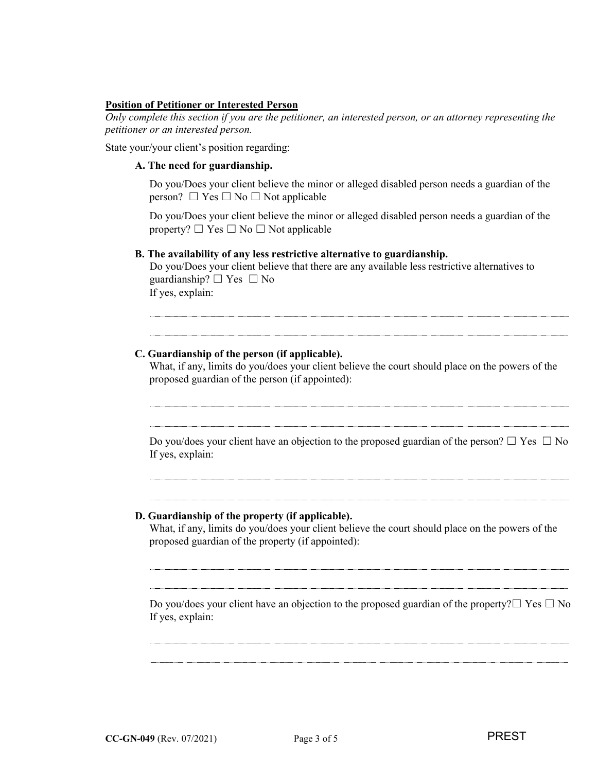## **Position of Petitioner or Interested Person**

*Only complete this section if you are the petitioner, an interested person, or an attorney representing the petitioner or an interested person.*

State your/your client's position regarding:

## **A. The need for guardianship.**

Do you/Does your client believe the minor or alleged disabled person needs a guardian of the person?  $\Box$  Yes  $\Box$  No  $\Box$  Not applicable

Do you/Does your client believe the minor or alleged disabled person needs a guardian of the property?  $\Box$  Yes  $\Box$  No  $\Box$  Not applicable

## **B. The availability of any less restrictive alternative to guardianship.**

Do you/Does your client believe that there are any available less restrictive alternatives to guardianship?  $\Box$  Yes  $\Box$  No If yes, explain:

# **C. Guardianship of the person (if applicable).**

What, if any, limits do you/does your client believe the court should place on the powers of the proposed guardian of the person (if appointed):

Do you/does your client have an objection to the proposed guardian of the person?  $\Box$  Yes  $\Box$  No If yes, explain:

#### **D. Guardianship of the property (if applicable).**

What, if any, limits do you/does your client believe the court should place on the powers of the proposed guardian of the property (if appointed):

Do you/does your client have an objection to the proposed guardian of the property? $\Box$  Yes  $\Box$  No If yes, explain: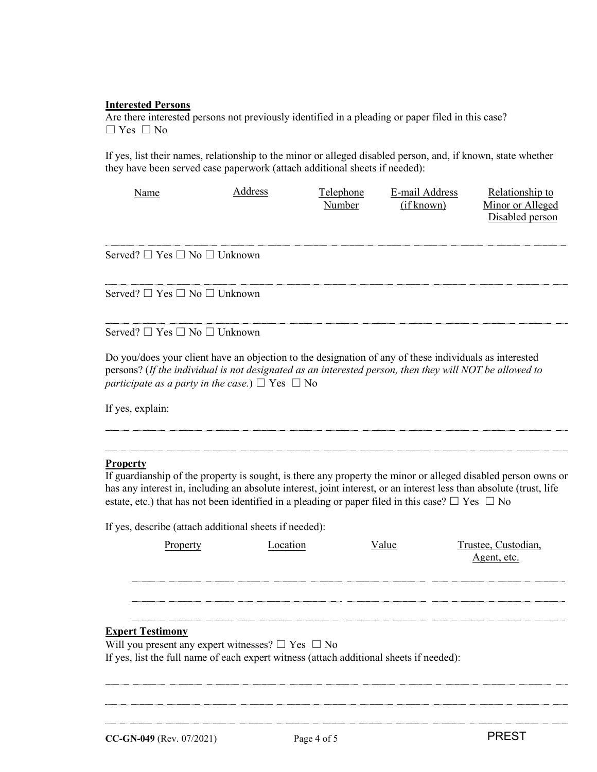## **Interested Persons**

Are there interested persons not previously identified in a pleading or paper filed in this case?  $\Box$  Yes  $\Box$  No

If yes, list their names, relationship to the minor or alleged disabled person, and, if known, state whether they have been served case paperwork (attach additional sheets if needed):

| Name                                        | Address | Telephone<br>Number | E-mail Address<br>(if known) | Relationship to<br>Minor or Alleged |
|---------------------------------------------|---------|---------------------|------------------------------|-------------------------------------|
|                                             |         |                     |                              | Disabled person                     |
| Served? $\Box$ Yes $\Box$ No $\Box$ Unknown |         |                     |                              |                                     |

Served? ☐ Yes ☐ No ☐ Unknown

Served? ☐ Yes ☐ No ☐ Unknown

Do you/does your client have an objection to the designation of any of these individuals as interested persons? (*If the individual is not designated as an interested person, then they will NOT be allowed to participate as a party in the case.*)  $\Box$  Yes  $\Box$  No

If yes, explain:

# **Property**

If guardianship of the property is sought, is there any property the minor or alleged disabled person owns or has any interest in, including an absolute interest, joint interest, or an interest less than absolute (trust, life estate, etc.) that has not been identified in a pleading or paper filed in this case?  $\Box$  Yes  $\Box$  No

If yes, describe (attach additional sheets if needed):

| Property                                                                                | Location | Value | Trustee, Custodian,<br>Agent, etc. |
|-----------------------------------------------------------------------------------------|----------|-------|------------------------------------|
|                                                                                         |          |       |                                    |
|                                                                                         |          |       |                                    |
|                                                                                         |          |       |                                    |
|                                                                                         |          |       |                                    |
| <b>Expert Testimony</b>                                                                 |          |       |                                    |
| Will you present any expert witnesses? $\square$ Yes $\square$ No                       |          |       |                                    |
| If yes, list the full name of each expert witness (attach additional sheets if needed): |          |       |                                    |
|                                                                                         |          |       |                                    |
|                                                                                         |          |       |                                    |